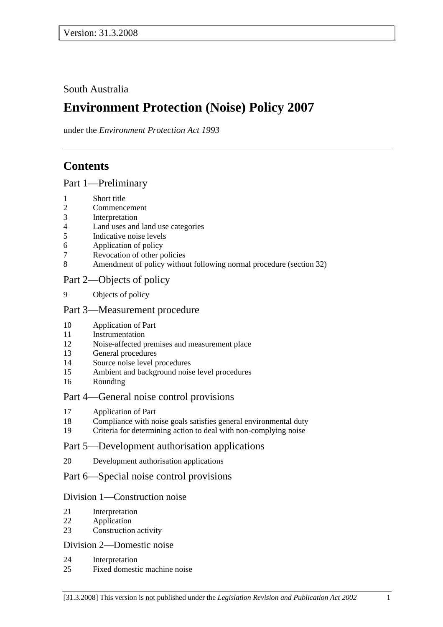## South Australia

# **Environment Protection (Noise) Policy 2007**

under the *Environment Protection Act 1993*

# **Contents**

### Part 1—Preliminary

- 1 Short title
- 2 Commencement
- 3 Interpretation
- 4 Land uses and land use categories
- 5 Indicative noise levels
- 6 Application of policy
- 7 Revocation of other policies
- 8 Amendment of policy without following normal procedure (section 32)

### Part 2—Objects of policy

9 Objects of policy

### Part 3—Measurement procedure

- 10 Application of Part
- 11 Instrumentation
- 12 Noise-affected premises and measurement place
- 13 General procedures
- 14 Source noise level procedures
- 15 Ambient and background noise level procedures
- 16 Rounding

### Part 4—General noise control provisions

- 17 Application of Part
- 18 Compliance with noise goals satisfies general environmental duty
- 19 Criteria for determining action to deal with non-complying noise

### Part 5—Development authorisation applications

20 Development authorisation applications

### Part 6—Special noise control provisions

### Division 1—Construction noise

- 21 Interpretation
- 22 Application
- 23 Construction activity

### Division 2—Domestic noise

- 24 Interpretation
- 25 Fixed domestic machine noise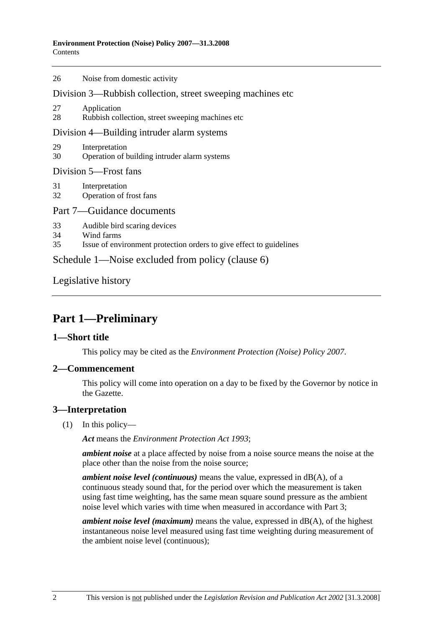| 26                                                          | Noise from domestic activity                                                                                      |  |  |  |
|-------------------------------------------------------------|-------------------------------------------------------------------------------------------------------------------|--|--|--|
| Division 3—Rubbish collection, street sweeping machines etc |                                                                                                                   |  |  |  |
| 27<br>28                                                    | Application<br>Rubbish collection, street sweeping machines etc.                                                  |  |  |  |
| Division 4—Building intruder alarm systems                  |                                                                                                                   |  |  |  |
| 29<br>30                                                    | Interpretation<br>Operation of building intruder alarm systems                                                    |  |  |  |
| Division 5-Frost fans                                       |                                                                                                                   |  |  |  |
| 31<br>32                                                    | Interpretation<br>Operation of frost fans                                                                         |  |  |  |
| Part 7—Guidance documents                                   |                                                                                                                   |  |  |  |
| 33<br>34<br>35                                              | Audible bird scaring devices<br>Wind farms<br>Issue of environment protection orders to give effect to guidelines |  |  |  |
| Schedule 1—Noise excluded from policy (clause 6)            |                                                                                                                   |  |  |  |
|                                                             |                                                                                                                   |  |  |  |

Legislative history

# **Part 1—Preliminary**

### **1—Short title**

This policy may be cited as the *Environment Protection (Noise) Policy 2007*.

### **2—Commencement**

This policy will come into operation on a day to be fixed by the Governor by notice in the Gazette.

### **3—Interpretation**

(1) In this policy—

*Act* means the *Environment Protection Act 1993*;

*ambient noise* at a place affected by noise from a noise source means the noise at the place other than the noise from the noise source;

*ambient noise level (continuous)* means the value, expressed in dB(A), of a continuous steady sound that, for the period over which the measurement is taken using fast time weighting, has the same mean square sound pressure as the ambient noise level which varies with time when measured in accordance with Part 3;

*ambient noise level (maximum)* means the value, expressed in dB(A), of the highest instantaneous noise level measured using fast time weighting during measurement of the ambient noise level (continuous);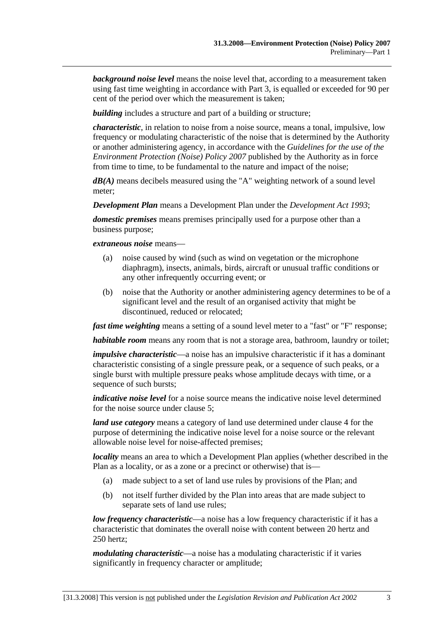*background noise level* means the noise level that, according to a measurement taken using fast time weighting in accordance with Part 3, is equalled or exceeded for 90 per cent of the period over which the measurement is taken;

*building* includes a structure and part of a building or structure:

*characteristic*, in relation to noise from a noise source, means a tonal, impulsive, low frequency or modulating characteristic of the noise that is determined by the Authority or another administering agency, in accordance with the *Guidelines for the use of the Environment Protection (Noise) Policy 2007* published by the Authority as in force from time to time, to be fundamental to the nature and impact of the noise;

*dB(A)* means decibels measured using the "A" weighting network of a sound level meter;

*Development Plan* means a Development Plan under the *Development Act 1993*;

*domestic premises* means premises principally used for a purpose other than a business purpose;

*extraneous noise* means—

- (a) noise caused by wind (such as wind on vegetation or the microphone diaphragm), insects, animals, birds, aircraft or unusual traffic conditions or any other infrequently occurring event; or
- (b) noise that the Authority or another administering agency determines to be of a significant level and the result of an organised activity that might be discontinued, reduced or relocated;

*fast time weighting* means a setting of a sound level meter to a "fast" or "F" response;

*habitable room* means any room that is not a storage area, bathroom, laundry or toilet;

*impulsive characteristic*—a noise has an impulsive characteristic if it has a dominant characteristic consisting of a single pressure peak, or a sequence of such peaks, or a single burst with multiple pressure peaks whose amplitude decays with time, or a sequence of such bursts;

*indicative noise level* for a noise source means the indicative noise level determined for the noise source under clause 5;

*land use category* means a category of land use determined under clause 4 for the purpose of determining the indicative noise level for a noise source or the relevant allowable noise level for noise-affected premises;

*locality* means an area to which a Development Plan applies (whether described in the Plan as a locality, or as a zone or a precinct or otherwise) that is—

- (a) made subject to a set of land use rules by provisions of the Plan; and
- (b) not itself further divided by the Plan into areas that are made subject to separate sets of land use rules;

*low frequency characteristic*—a noise has a low frequency characteristic if it has a characteristic that dominates the overall noise with content between 20 hertz and 250 hertz;

*modulating characteristic*—a noise has a modulating characteristic if it varies significantly in frequency character or amplitude;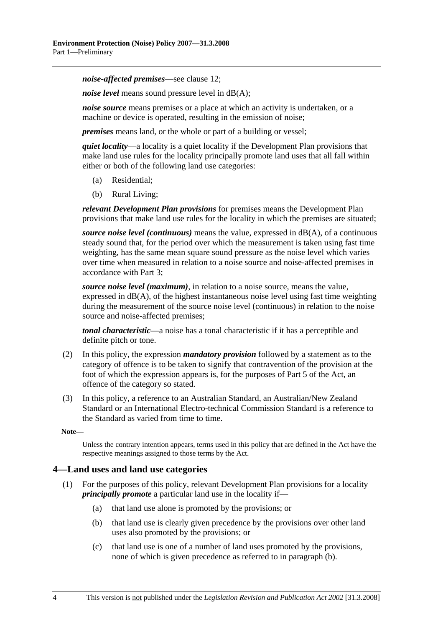*noise-affected premises*—see clause 12;

*noise level* means sound pressure level in dB(A);

*noise source* means premises or a place at which an activity is undertaken, or a machine or device is operated, resulting in the emission of noise;

*premises* means land, or the whole or part of a building or vessel;

*quiet locality*—a locality is a quiet locality if the Development Plan provisions that make land use rules for the locality principally promote land uses that all fall within either or both of the following land use categories:

- (a) Residential;
- (b) Rural Living;

*relevant Development Plan provisions* for premises means the Development Plan provisions that make land use rules for the locality in which the premises are situated;

*source noise level (continuous)* means the value, expressed in dB(A), of a continuous steady sound that, for the period over which the measurement is taken using fast time weighting, has the same mean square sound pressure as the noise level which varies over time when measured in relation to a noise source and noise-affected premises in accordance with Part 3;

*source noise level (maximum)*, in relation to a noise source, means the value, expressed in  $dB(A)$ , of the highest instantaneous noise level using fast time weighting during the measurement of the source noise level (continuous) in relation to the noise source and noise-affected premises;

*tonal characteristic*—a noise has a tonal characteristic if it has a perceptible and definite pitch or tone.

- (2) In this policy, the expression *mandatory provision* followed by a statement as to the category of offence is to be taken to signify that contravention of the provision at the foot of which the expression appears is, for the purposes of Part 5 of the Act, an offence of the category so stated.
- (3) In this policy, a reference to an Australian Standard, an Australian/New Zealand Standard or an International Electro-technical Commission Standard is a reference to the Standard as varied from time to time.

**Note—** 

Unless the contrary intention appears, terms used in this policy that are defined in the Act have the respective meanings assigned to those terms by the Act.

#### **4—Land uses and land use categories**

- (1) For the purposes of this policy, relevant Development Plan provisions for a locality *principally promote* a particular land use in the locality if—
	- (a) that land use alone is promoted by the provisions; or
	- (b) that land use is clearly given precedence by the provisions over other land uses also promoted by the provisions; or
	- (c) that land use is one of a number of land uses promoted by the provisions, none of which is given precedence as referred to in paragraph (b).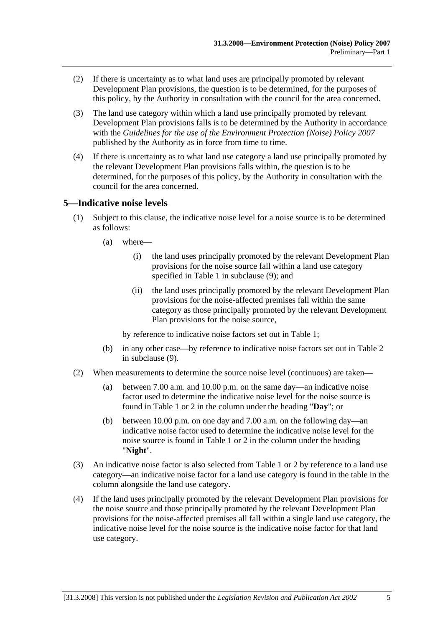- (2) If there is uncertainty as to what land uses are principally promoted by relevant Development Plan provisions, the question is to be determined, for the purposes of this policy, by the Authority in consultation with the council for the area concerned.
- (3) The land use category within which a land use principally promoted by relevant Development Plan provisions falls is to be determined by the Authority in accordance with the *Guidelines for the use of the Environment Protection (Noise) Policy 2007* published by the Authority as in force from time to time.
- (4) If there is uncertainty as to what land use category a land use principally promoted by the relevant Development Plan provisions falls within, the question is to be determined, for the purposes of this policy, by the Authority in consultation with the council for the area concerned.

### **5—Indicative noise levels**

- (1) Subject to this clause, the indicative noise level for a noise source is to be determined as follows:
	- (a) where—
		- (i) the land uses principally promoted by the relevant Development Plan provisions for the noise source fall within a land use category specified in Table 1 in subclause (9); and
		- (ii) the land uses principally promoted by the relevant Development Plan provisions for the noise-affected premises fall within the same category as those principally promoted by the relevant Development Plan provisions for the noise source,

by reference to indicative noise factors set out in Table 1;

- (b) in any other case—by reference to indicative noise factors set out in Table 2 in subclause (9).
- (2) When measurements to determine the source noise level (continuous) are taken—
	- (a) between 7.00 a.m. and 10.00 p.m. on the same day—an indicative noise factor used to determine the indicative noise level for the noise source is found in Table 1 or 2 in the column under the heading "**Day**"; or
	- (b) between 10.00 p.m. on one day and 7.00 a.m. on the following day—an indicative noise factor used to determine the indicative noise level for the noise source is found in Table 1 or 2 in the column under the heading "**Night**".
- (3) An indicative noise factor is also selected from Table 1 or 2 by reference to a land use category—an indicative noise factor for a land use category is found in the table in the column alongside the land use category.
- (4) If the land uses principally promoted by the relevant Development Plan provisions for the noise source and those principally promoted by the relevant Development Plan provisions for the noise-affected premises all fall within a single land use category, the indicative noise level for the noise source is the indicative noise factor for that land use category.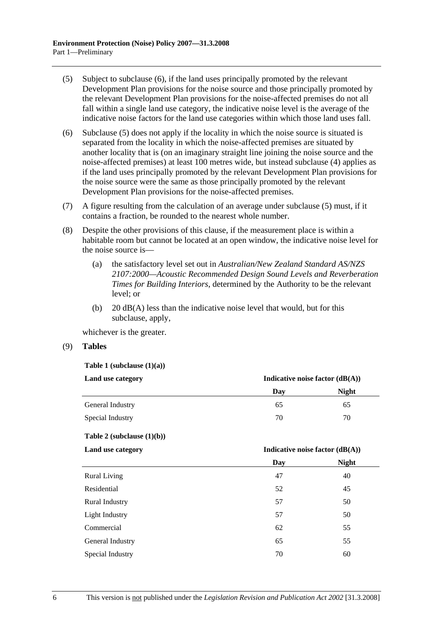- (5) Subject to subclause (6), if the land uses principally promoted by the relevant Development Plan provisions for the noise source and those principally promoted by the relevant Development Plan provisions for the noise-affected premises do not all fall within a single land use category, the indicative noise level is the average of the indicative noise factors for the land use categories within which those land uses fall.
- (6) Subclause (5) does not apply if the locality in which the noise source is situated is separated from the locality in which the noise-affected premises are situated by another locality that is (on an imaginary straight line joining the noise source and the noise-affected premises) at least 100 metres wide, but instead subclause (4) applies as if the land uses principally promoted by the relevant Development Plan provisions for the noise source were the same as those principally promoted by the relevant Development Plan provisions for the noise-affected premises.
- (7) A figure resulting from the calculation of an average under subclause (5) must, if it contains a fraction, be rounded to the nearest whole number.
- (8) Despite the other provisions of this clause, if the measurement place is within a habitable room but cannot be located at an open window, the indicative noise level for the noise source is—
	- (a) the satisfactory level set out in *Australian/New Zealand Standard AS/NZS 2107:2000—Acoustic Recommended Design Sound Levels and Reverberation Times for Building Interiors*, determined by the Authority to be the relevant level; or
	- (b)  $20 \text{ dB}(A)$  less than the indicative noise level that would, but for this subclause, apply,

whichever is the greater.

(9) **Tables**

**Table 1 (subclause (1)(a))** 

| Indicative noise factor $(dB(A))$ |       |
|-----------------------------------|-------|
| Day                               | Night |
| 65                                | 65    |
| 70                                | 70    |
|                                   |       |

**Table 2 (subclause (1)(b))** 

#### Land use category **Indicative noise factor (dB(A))**

|                       | Day | <b>Night</b> |
|-----------------------|-----|--------------|
| <b>Rural Living</b>   | 47  | 40           |
| Residential           | 52  | 45           |
| <b>Rural Industry</b> | 57  | 50           |
| Light Industry        | 57  | 50           |
| Commercial            | 62  | 55           |
| General Industry      | 65  | 55           |
| Special Industry      | 70  | 60           |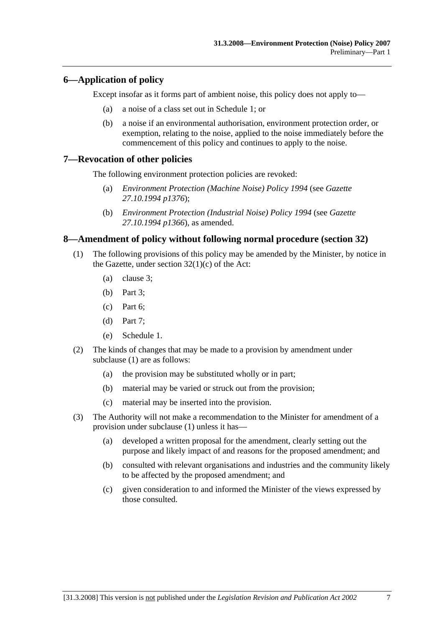### **6—Application of policy**

Except insofar as it forms part of ambient noise, this policy does not apply to—

- (a) a noise of a class set out in Schedule 1; or
- (b) a noise if an environmental authorisation, environment protection order, or exemption, relating to the noise, applied to the noise immediately before the commencement of this policy and continues to apply to the noise.

#### **7—Revocation of other policies**

The following environment protection policies are revoked:

- (a) *Environment Protection (Machine Noise) Policy 1994* (see *Gazette 27.10.1994 p1376*);
- (b) *Environment Protection (Industrial Noise) Policy 1994* (see *Gazette 27.10.1994 p1366*), as amended.

### **8—Amendment of policy without following normal procedure (section 32)**

- (1) The following provisions of this policy may be amended by the Minister, by notice in the Gazette, under section  $32(1)(c)$  of the Act:
	- (a) clause 3;
	- (b) Part 3;
	- (c) Part 6;
	- (d) Part 7;
	- (e) Schedule 1.
- (2) The kinds of changes that may be made to a provision by amendment under subclause (1) are as follows:
	- (a) the provision may be substituted wholly or in part;
	- (b) material may be varied or struck out from the provision;
	- (c) material may be inserted into the provision.
- (3) The Authority will not make a recommendation to the Minister for amendment of a provision under subclause (1) unless it has—
	- (a) developed a written proposal for the amendment, clearly setting out the purpose and likely impact of and reasons for the proposed amendment; and
	- (b) consulted with relevant organisations and industries and the community likely to be affected by the proposed amendment; and
	- (c) given consideration to and informed the Minister of the views expressed by those consulted.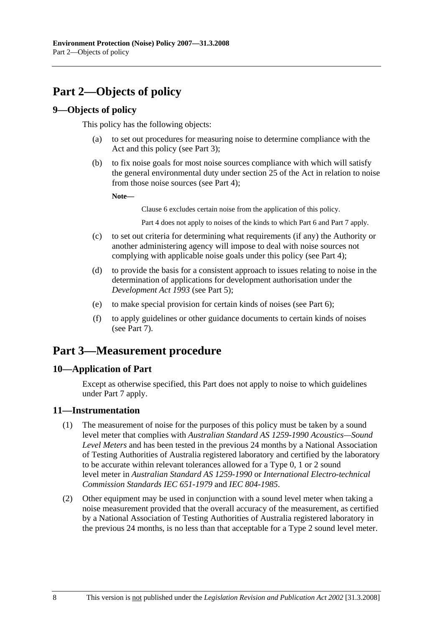# **Part 2—Objects of policy**

### **9—Objects of policy**

This policy has the following objects:

- (a) to set out procedures for measuring noise to determine compliance with the Act and this policy (see Part 3);
- (b) to fix noise goals for most noise sources compliance with which will satisfy the general environmental duty under section 25 of the Act in relation to noise from those noise sources (see Part 4);

**Note—** 

Clause 6 excludes certain noise from the application of this policy.

Part 4 does not apply to noises of the kinds to which Part 6 and Part 7 apply.

- (c) to set out criteria for determining what requirements (if any) the Authority or another administering agency will impose to deal with noise sources not complying with applicable noise goals under this policy (see Part 4);
- (d) to provide the basis for a consistent approach to issues relating to noise in the determination of applications for development authorisation under the *Development Act 1993* (see Part 5);
- (e) to make special provision for certain kinds of noises (see Part 6);
- (f) to apply guidelines or other guidance documents to certain kinds of noises (see Part 7).

# **Part 3—Measurement procedure**

### **10—Application of Part**

Except as otherwise specified, this Part does not apply to noise to which guidelines under Part 7 apply.

### **11—Instrumentation**

- (1) The measurement of noise for the purposes of this policy must be taken by a sound level meter that complies with *Australian Standard AS 1259-1990 Acoustics—Sound Level Meters* and has been tested in the previous 24 months by a National Association of Testing Authorities of Australia registered laboratory and certified by the laboratory to be accurate within relevant tolerances allowed for a Type 0, 1 or 2 sound level meter in *Australian Standard AS 1259-1990* or *International Electro-technical Commission Standards IEC 651-1979* and *IEC 804-1985*.
- (2) Other equipment may be used in conjunction with a sound level meter when taking a noise measurement provided that the overall accuracy of the measurement, as certified by a National Association of Testing Authorities of Australia registered laboratory in the previous 24 months, is no less than that acceptable for a Type 2 sound level meter.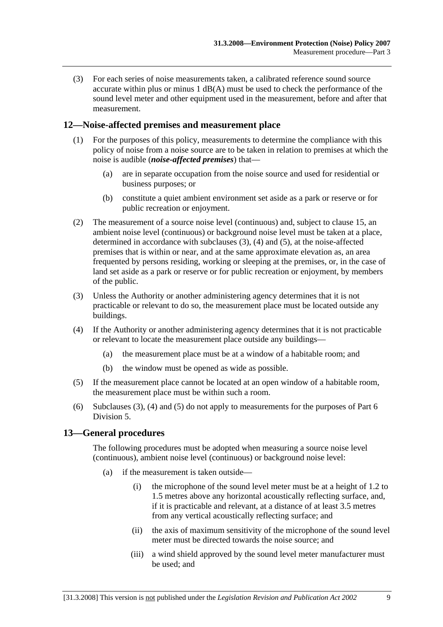(3) For each series of noise measurements taken, a calibrated reference sound source accurate within plus or minus 1 dB(A) must be used to check the performance of the sound level meter and other equipment used in the measurement, before and after that measurement.

### **12—Noise-affected premises and measurement place**

- (1) For the purposes of this policy, measurements to determine the compliance with this policy of noise from a noise source are to be taken in relation to premises at which the noise is audible (*noise-affected premises*) that—
	- (a) are in separate occupation from the noise source and used for residential or business purposes; or
	- (b) constitute a quiet ambient environment set aside as a park or reserve or for public recreation or enjoyment.
- (2) The measurement of a source noise level (continuous) and, subject to clause 15, an ambient noise level (continuous) or background noise level must be taken at a place, determined in accordance with subclauses (3), (4) and (5), at the noise-affected premises that is within or near, and at the same approximate elevation as, an area frequented by persons residing, working or sleeping at the premises, or, in the case of land set aside as a park or reserve or for public recreation or enjoyment, by members of the public.
- (3) Unless the Authority or another administering agency determines that it is not practicable or relevant to do so, the measurement place must be located outside any buildings.
- (4) If the Authority or another administering agency determines that it is not practicable or relevant to locate the measurement place outside any buildings—
	- (a) the measurement place must be at a window of a habitable room; and
	- (b) the window must be opened as wide as possible.
- (5) If the measurement place cannot be located at an open window of a habitable room, the measurement place must be within such a room.
- (6) Subclauses (3), (4) and (5) do not apply to measurements for the purposes of Part 6 Division 5.

### **13—General procedures**

The following procedures must be adopted when measuring a source noise level (continuous), ambient noise level (continuous) or background noise level:

- (a) if the measurement is taken outside—
	- (i) the microphone of the sound level meter must be at a height of 1.2 to 1.5 metres above any horizontal acoustically reflecting surface, and, if it is practicable and relevant, at a distance of at least 3.5 metres from any vertical acoustically reflecting surface; and
	- (ii) the axis of maximum sensitivity of the microphone of the sound level meter must be directed towards the noise source; and
	- (iii) a wind shield approved by the sound level meter manufacturer must be used; and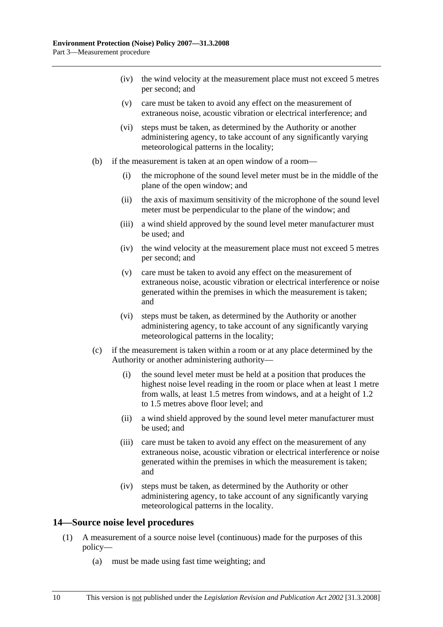- (iv) the wind velocity at the measurement place must not exceed 5 metres per second; and
- (v) care must be taken to avoid any effect on the measurement of extraneous noise, acoustic vibration or electrical interference; and
- (vi) steps must be taken, as determined by the Authority or another administering agency, to take account of any significantly varying meteorological patterns in the locality;
- (b) if the measurement is taken at an open window of a room—
	- (i) the microphone of the sound level meter must be in the middle of the plane of the open window; and
	- (ii) the axis of maximum sensitivity of the microphone of the sound level meter must be perpendicular to the plane of the window; and
	- (iii) a wind shield approved by the sound level meter manufacturer must be used; and
	- (iv) the wind velocity at the measurement place must not exceed 5 metres per second; and
	- (v) care must be taken to avoid any effect on the measurement of extraneous noise, acoustic vibration or electrical interference or noise generated within the premises in which the measurement is taken; and
	- (vi) steps must be taken, as determined by the Authority or another administering agency, to take account of any significantly varying meteorological patterns in the locality;
- (c) if the measurement is taken within a room or at any place determined by the Authority or another administering authority—
	- (i) the sound level meter must be held at a position that produces the highest noise level reading in the room or place when at least 1 metre from walls, at least 1.5 metres from windows, and at a height of 1.2 to 1.5 metres above floor level; and
	- (ii) a wind shield approved by the sound level meter manufacturer must be used; and
	- (iii) care must be taken to avoid any effect on the measurement of any extraneous noise, acoustic vibration or electrical interference or noise generated within the premises in which the measurement is taken; and
	- (iv) steps must be taken, as determined by the Authority or other administering agency, to take account of any significantly varying meteorological patterns in the locality.

#### **14—Source noise level procedures**

- (1) A measurement of a source noise level (continuous) made for the purposes of this policy—
	- (a) must be made using fast time weighting; and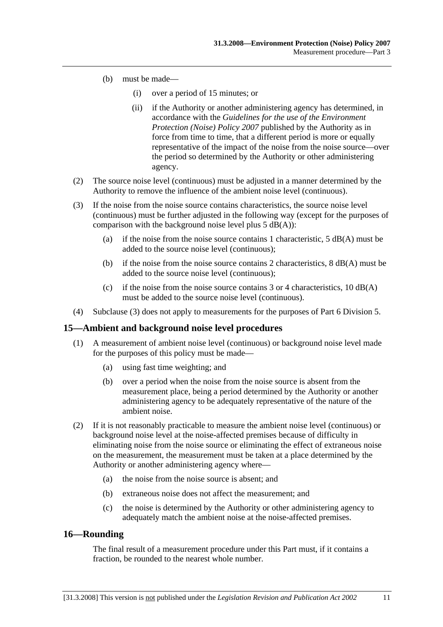- (b) must be made—
	- (i) over a period of 15 minutes; or
	- (ii) if the Authority or another administering agency has determined, in accordance with the *Guidelines for the use of the Environment Protection (Noise) Policy 2007* published by the Authority as in force from time to time, that a different period is more or equally representative of the impact of the noise from the noise source—over the period so determined by the Authority or other administering agency.
- (2) The source noise level (continuous) must be adjusted in a manner determined by the Authority to remove the influence of the ambient noise level (continuous).
- (3) If the noise from the noise source contains characteristics, the source noise level (continuous) must be further adjusted in the following way (except for the purposes of comparison with the background noise level plus  $5$  dB(A)):
	- (a) if the noise from the noise source contains 1 characteristic,  $5 \text{ dB}(A)$  must be added to the source noise level (continuous);
	- (b) if the noise from the noise source contains 2 characteristics,  $8 \text{ dB}(A)$  must be added to the source noise level (continuous);
	- (c) if the noise from the noise source contains  $3$  or  $4$  characteristics,  $10$  dB(A) must be added to the source noise level (continuous).
- (4) Subclause (3) does not apply to measurements for the purposes of Part 6 Division 5.

#### **15—Ambient and background noise level procedures**

- (1) A measurement of ambient noise level (continuous) or background noise level made for the purposes of this policy must be made—
	- (a) using fast time weighting; and
	- (b) over a period when the noise from the noise source is absent from the measurement place, being a period determined by the Authority or another administering agency to be adequately representative of the nature of the ambient noise.
- (2) If it is not reasonably practicable to measure the ambient noise level (continuous) or background noise level at the noise-affected premises because of difficulty in eliminating noise from the noise source or eliminating the effect of extraneous noise on the measurement, the measurement must be taken at a place determined by the Authority or another administering agency where—
	- (a) the noise from the noise source is absent; and
	- (b) extraneous noise does not affect the measurement; and
	- (c) the noise is determined by the Authority or other administering agency to adequately match the ambient noise at the noise-affected premises.

### **16—Rounding**

The final result of a measurement procedure under this Part must, if it contains a fraction, be rounded to the nearest whole number.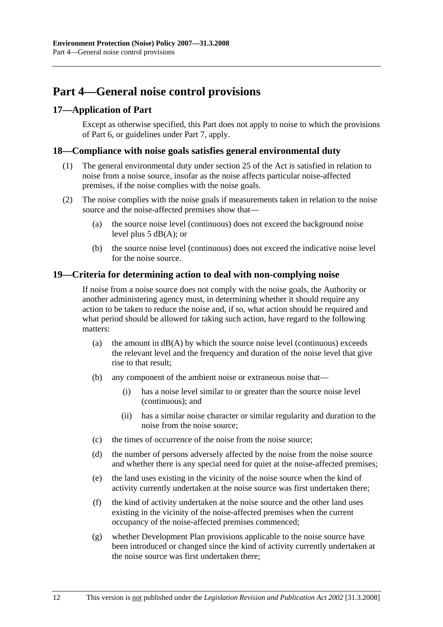# **Part 4—General noise control provisions**

### **17—Application of Part**

Except as otherwise specified, this Part does not apply to noise to which the provisions of Part 6, or guidelines under Part 7, apply.

#### **18—Compliance with noise goals satisfies general environmental duty**

- (1) The general environmental duty under section 25 of the Act is satisfied in relation to noise from a noise source, insofar as the noise affects particular noise-affected premises, if the noise complies with the noise goals.
- (2) The noise complies with the noise goals if measurements taken in relation to the noise source and the noise-affected premises show that—
	- (a) the source noise level (continuous) does not exceed the background noise level plus 5 dB(A); or
	- (b) the source noise level (continuous) does not exceed the indicative noise level for the noise source.

#### **19—Criteria for determining action to deal with non-complying noise**

If noise from a noise source does not comply with the noise goals, the Authority or another administering agency must, in determining whether it should require any action to be taken to reduce the noise and, if so, what action should be required and what period should be allowed for taking such action, have regard to the following matters:

- (a) the amount in  $dB(A)$  by which the source noise level (continuous) exceeds the relevant level and the frequency and duration of the noise level that give rise to that result;
- (b) any component of the ambient noise or extraneous noise that—
	- (i) has a noise level similar to or greater than the source noise level (continuous); and
	- (ii) has a similar noise character or similar regularity and duration to the noise from the noise source;
- (c) the times of occurrence of the noise from the noise source;
- (d) the number of persons adversely affected by the noise from the noise source and whether there is any special need for quiet at the noise-affected premises;
- (e) the land uses existing in the vicinity of the noise source when the kind of activity currently undertaken at the noise source was first undertaken there;
- (f) the kind of activity undertaken at the noise source and the other land uses existing in the vicinity of the noise-affected premises when the current occupancy of the noise-affected premises commenced;
- (g) whether Development Plan provisions applicable to the noise source have been introduced or changed since the kind of activity currently undertaken at the noise source was first undertaken there;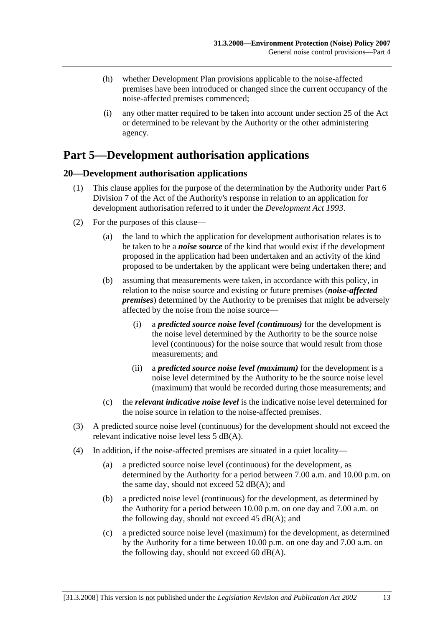- (h) whether Development Plan provisions applicable to the noise-affected premises have been introduced or changed since the current occupancy of the noise-affected premises commenced;
- (i) any other matter required to be taken into account under section 25 of the Act or determined to be relevant by the Authority or the other administering agency.

# **Part 5—Development authorisation applications**

### **20—Development authorisation applications**

- (1) This clause applies for the purpose of the determination by the Authority under Part 6 Division 7 of the Act of the Authority's response in relation to an application for development authorisation referred to it under the *Development Act 1993*.
- (2) For the purposes of this clause—
	- (a) the land to which the application for development authorisation relates is to be taken to be a *noise source* of the kind that would exist if the development proposed in the application had been undertaken and an activity of the kind proposed to be undertaken by the applicant were being undertaken there; and
	- (b) assuming that measurements were taken, in accordance with this policy, in relation to the noise source and existing or future premises (*noise-affected premises*) determined by the Authority to be premises that might be adversely affected by the noise from the noise source—
		- (i) a *predicted source noise level (continuous)* for the development is the noise level determined by the Authority to be the source noise level (continuous) for the noise source that would result from those measurements; and
		- (ii) a *predicted source noise level (maximum)* for the development is a noise level determined by the Authority to be the source noise level (maximum) that would be recorded during those measurements; and
	- (c) the *relevant indicative noise level* is the indicative noise level determined for the noise source in relation to the noise-affected premises.
- (3) A predicted source noise level (continuous) for the development should not exceed the relevant indicative noise level less 5 dB(A).
- (4) In addition, if the noise-affected premises are situated in a quiet locality—
	- (a) a predicted source noise level (continuous) for the development, as determined by the Authority for a period between 7.00 a.m. and 10.00 p.m. on the same day, should not exceed 52 dB(A); and
	- (b) a predicted noise level (continuous) for the development, as determined by the Authority for a period between 10.00 p.m. on one day and 7.00 a.m. on the following day, should not exceed  $45$  dB(A); and
	- (c) a predicted source noise level (maximum) for the development, as determined by the Authority for a time between 10.00 p.m. on one day and 7.00 a.m. on the following day, should not exceed 60  $dB(A)$ .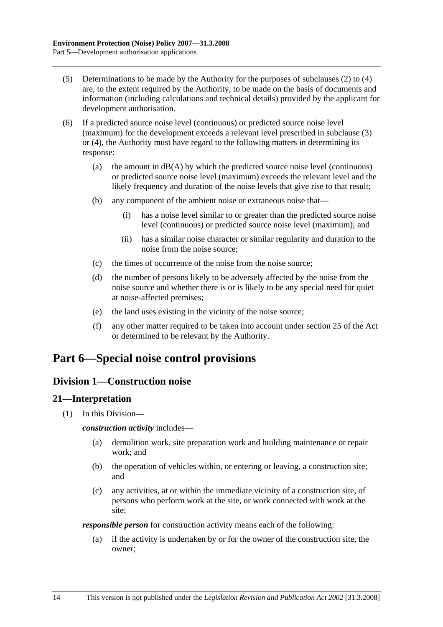- (5) Determinations to be made by the Authority for the purposes of subclauses (2) to (4) are, to the extent required by the Authority, to be made on the basis of documents and information (including calculations and technical details) provided by the applicant for development authorisation.
- (6) If a predicted source noise level (continuous) or predicted source noise level (maximum) for the development exceeds a relevant level prescribed in subclause (3) or (4), the Authority must have regard to the following matters in determining its response:
	- (a) the amount in  $dB(A)$  by which the predicted source noise level (continuous) or predicted source noise level (maximum) exceeds the relevant level and the likely frequency and duration of the noise levels that give rise to that result;
	- (b) any component of the ambient noise or extraneous noise that—
		- (i) has a noise level similar to or greater than the predicted source noise level (continuous) or predicted source noise level (maximum); and
		- (ii) has a similar noise character or similar regularity and duration to the noise from the noise source;
	- (c) the times of occurrence of the noise from the noise source;
	- (d) the number of persons likely to be adversely affected by the noise from the noise source and whether there is or is likely to be any special need for quiet at noise-affected premises;
	- (e) the land uses existing in the vicinity of the noise source;
	- (f) any other matter required to be taken into account under section 25 of the Act or determined to be relevant by the Authority.

# **Part 6—Special noise control provisions**

### **Division 1—Construction noise**

### **21—Interpretation**

(1) In this Division—

#### *construction activity* includes—

- (a) demolition work, site preparation work and building maintenance or repair work; and
- (b) the operation of vehicles within, or entering or leaving, a construction site; and
- (c) any activities, at or within the immediate vicinity of a construction site, of persons who perform work at the site, or work connected with work at the site;

*responsible person* for construction activity means each of the following:

 (a) if the activity is undertaken by or for the owner of the construction site, the owner;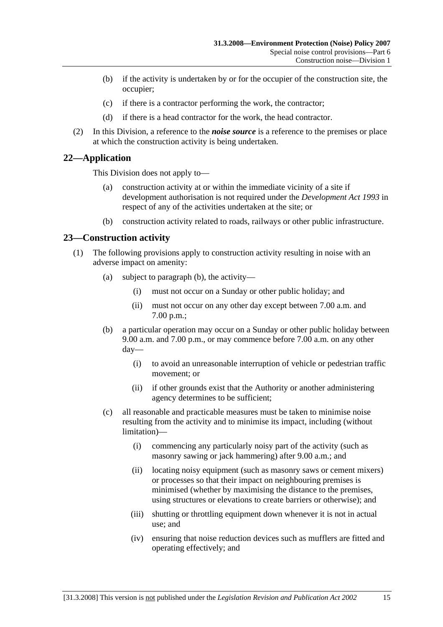- (b) if the activity is undertaken by or for the occupier of the construction site, the occupier;
- (c) if there is a contractor performing the work, the contractor;
- (d) if there is a head contractor for the work, the head contractor.
- (2) In this Division, a reference to the *noise source* is a reference to the premises or place at which the construction activity is being undertaken.

### **22—Application**

This Division does not apply to—

- (a) construction activity at or within the immediate vicinity of a site if development authorisation is not required under the *Development Act 1993* in respect of any of the activities undertaken at the site; or
- (b) construction activity related to roads, railways or other public infrastructure.

### **23—Construction activity**

- (1) The following provisions apply to construction activity resulting in noise with an adverse impact on amenity:
	- (a) subject to paragraph (b), the activity—
		- (i) must not occur on a Sunday or other public holiday; and
		- (ii) must not occur on any other day except between 7.00 a.m. and 7.00 p.m.;
	- (b) a particular operation may occur on a Sunday or other public holiday between 9.00 a.m. and 7.00 p.m., or may commence before 7.00 a.m. on any other day—
		- (i) to avoid an unreasonable interruption of vehicle or pedestrian traffic movement; or
		- (ii) if other grounds exist that the Authority or another administering agency determines to be sufficient;
	- (c) all reasonable and practicable measures must be taken to minimise noise resulting from the activity and to minimise its impact, including (without limitation)—
		- (i) commencing any particularly noisy part of the activity (such as masonry sawing or jack hammering) after 9.00 a.m.; and
		- (ii) locating noisy equipment (such as masonry saws or cement mixers) or processes so that their impact on neighbouring premises is minimised (whether by maximising the distance to the premises, using structures or elevations to create barriers or otherwise); and
		- (iii) shutting or throttling equipment down whenever it is not in actual use; and
		- (iv) ensuring that noise reduction devices such as mufflers are fitted and operating effectively; and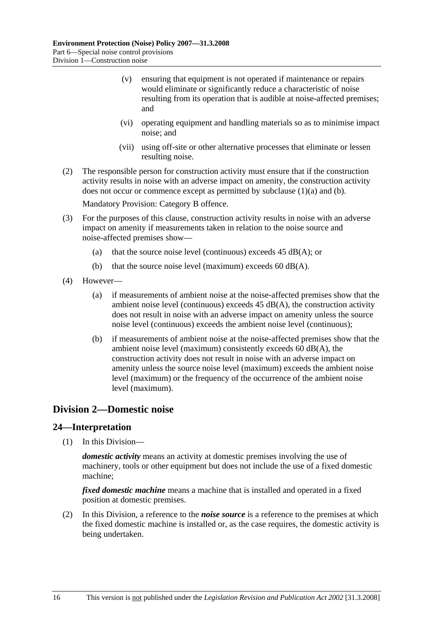- (v) ensuring that equipment is not operated if maintenance or repairs would eliminate or significantly reduce a characteristic of noise resulting from its operation that is audible at noise-affected premises; and
- (vi) operating equipment and handling materials so as to minimise impact noise; and
- (vii) using off-site or other alternative processes that eliminate or lessen resulting noise.
- (2) The responsible person for construction activity must ensure that if the construction activity results in noise with an adverse impact on amenity, the construction activity does not occur or commence except as permitted by subclause (1)(a) and (b).

Mandatory Provision: Category B offence.

- (3) For the purposes of this clause, construction activity results in noise with an adverse impact on amenity if measurements taken in relation to the noise source and noise-affected premises show—
	- (a) that the source noise level (continuous) exceeds  $45$  dB(A); or
	- (b) that the source noise level (maximum) exceeds  $60$  dB(A).
- (4) However—
	- (a) if measurements of ambient noise at the noise-affected premises show that the ambient noise level (continuous) exceeds  $45$  dB(A), the construction activity does not result in noise with an adverse impact on amenity unless the source noise level (continuous) exceeds the ambient noise level (continuous);
	- (b) if measurements of ambient noise at the noise-affected premises show that the ambient noise level (maximum) consistently exceeds 60 dB(A), the construction activity does not result in noise with an adverse impact on amenity unless the source noise level (maximum) exceeds the ambient noise level (maximum) or the frequency of the occurrence of the ambient noise level (maximum).

### **Division 2—Domestic noise**

### **24—Interpretation**

(1) In this Division—

*domestic activity* means an activity at domestic premises involving the use of machinery, tools or other equipment but does not include the use of a fixed domestic machine;

*fixed domestic machine* means a machine that is installed and operated in a fixed position at domestic premises.

 (2) In this Division, a reference to the *noise source* is a reference to the premises at which the fixed domestic machine is installed or, as the case requires, the domestic activity is being undertaken.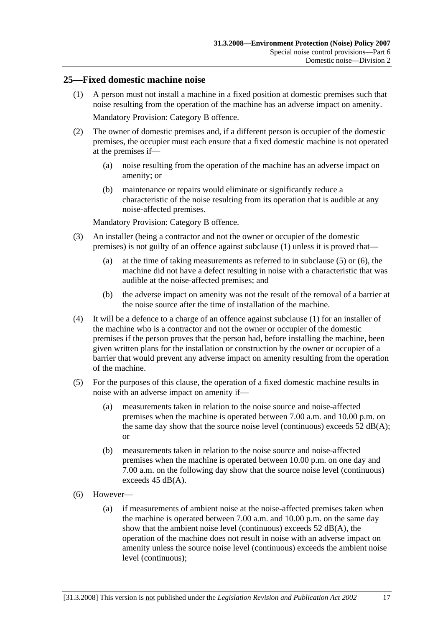### **25—Fixed domestic machine noise**

 (1) A person must not install a machine in a fixed position at domestic premises such that noise resulting from the operation of the machine has an adverse impact on amenity.

Mandatory Provision: Category B offence.

- (2) The owner of domestic premises and, if a different person is occupier of the domestic premises, the occupier must each ensure that a fixed domestic machine is not operated at the premises if—
	- (a) noise resulting from the operation of the machine has an adverse impact on amenity; or
	- (b) maintenance or repairs would eliminate or significantly reduce a characteristic of the noise resulting from its operation that is audible at any noise-affected premises.

Mandatory Provision: Category B offence.

- (3) An installer (being a contractor and not the owner or occupier of the domestic premises) is not guilty of an offence against subclause (1) unless it is proved that—
	- (a) at the time of taking measurements as referred to in subclause (5) or (6), the machine did not have a defect resulting in noise with a characteristic that was audible at the noise-affected premises; and
	- (b) the adverse impact on amenity was not the result of the removal of a barrier at the noise source after the time of installation of the machine.
- (4) It will be a defence to a charge of an offence against subclause (1) for an installer of the machine who is a contractor and not the owner or occupier of the domestic premises if the person proves that the person had, before installing the machine, been given written plans for the installation or construction by the owner or occupier of a barrier that would prevent any adverse impact on amenity resulting from the operation of the machine.
- (5) For the purposes of this clause, the operation of a fixed domestic machine results in noise with an adverse impact on amenity if—
	- (a) measurements taken in relation to the noise source and noise-affected premises when the machine is operated between 7.00 a.m. and 10.00 p.m. on the same day show that the source noise level (continuous) exceeds  $52 \text{ dB}(A)$ ; or
	- (b) measurements taken in relation to the noise source and noise-affected premises when the machine is operated between 10.00 p.m. on one day and 7.00 a.m. on the following day show that the source noise level (continuous) exceeds 45 dB(A).
- (6) However—
	- (a) if measurements of ambient noise at the noise-affected premises taken when the machine is operated between 7.00 a.m. and 10.00 p.m. on the same day show that the ambient noise level (continuous) exceeds 52 dB(A), the operation of the machine does not result in noise with an adverse impact on amenity unless the source noise level (continuous) exceeds the ambient noise level (continuous);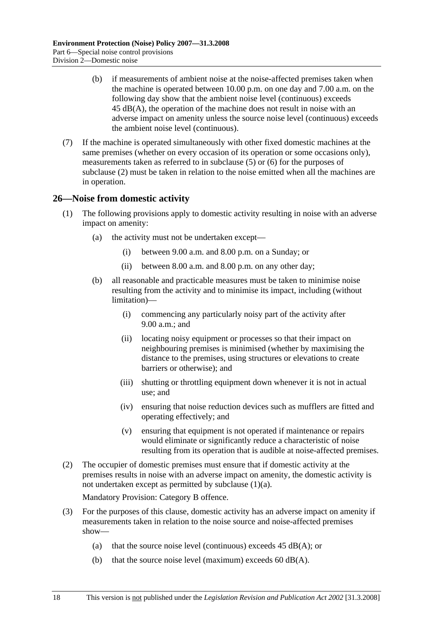- (b) if measurements of ambient noise at the noise-affected premises taken when the machine is operated between 10.00 p.m. on one day and 7.00 a.m. on the following day show that the ambient noise level (continuous) exceeds 45 dB(A), the operation of the machine does not result in noise with an adverse impact on amenity unless the source noise level (continuous) exceeds the ambient noise level (continuous).
- (7) If the machine is operated simultaneously with other fixed domestic machines at the same premises (whether on every occasion of its operation or some occasions only), measurements taken as referred to in subclause (5) or (6) for the purposes of subclause (2) must be taken in relation to the noise emitted when all the machines are in operation.

### **26—Noise from domestic activity**

- (1) The following provisions apply to domestic activity resulting in noise with an adverse impact on amenity:
	- (a) the activity must not be undertaken except—
		- (i) between 9.00 a.m. and 8.00 p.m. on a Sunday; or
		- (ii) between 8.00 a.m. and 8.00 p.m. on any other day;
	- (b) all reasonable and practicable measures must be taken to minimise noise resulting from the activity and to minimise its impact, including (without limitation)—
		- (i) commencing any particularly noisy part of the activity after 9.00 a.m.; and
		- (ii) locating noisy equipment or processes so that their impact on neighbouring premises is minimised (whether by maximising the distance to the premises, using structures or elevations to create barriers or otherwise); and
		- (iii) shutting or throttling equipment down whenever it is not in actual use; and
		- (iv) ensuring that noise reduction devices such as mufflers are fitted and operating effectively; and
		- (v) ensuring that equipment is not operated if maintenance or repairs would eliminate or significantly reduce a characteristic of noise resulting from its operation that is audible at noise-affected premises.
- (2) The occupier of domestic premises must ensure that if domestic activity at the premises results in noise with an adverse impact on amenity, the domestic activity is not undertaken except as permitted by subclause (1)(a).

Mandatory Provision: Category B offence.

- (3) For the purposes of this clause, domestic activity has an adverse impact on amenity if measurements taken in relation to the noise source and noise-affected premises show—
	- (a) that the source noise level (continuous) exceeds  $45$  dB(A); or
	- (b) that the source noise level (maximum) exceeds  $60$  dB(A).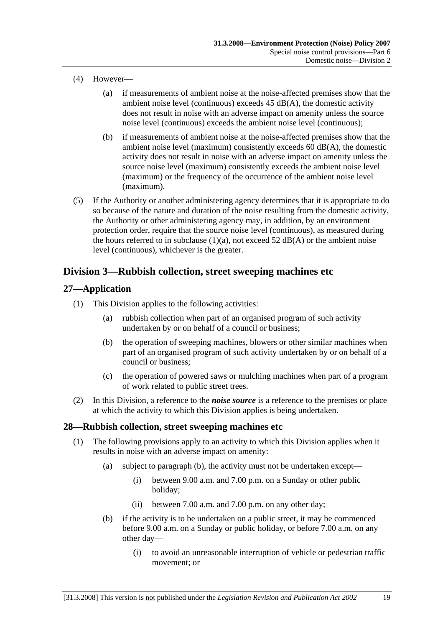- (4) However—
	- (a) if measurements of ambient noise at the noise-affected premises show that the ambient noise level (continuous) exceeds 45 dB(A), the domestic activity does not result in noise with an adverse impact on amenity unless the source noise level (continuous) exceeds the ambient noise level (continuous);
	- (b) if measurements of ambient noise at the noise-affected premises show that the ambient noise level (maximum) consistently exceeds 60 dB(A), the domestic activity does not result in noise with an adverse impact on amenity unless the source noise level (maximum) consistently exceeds the ambient noise level (maximum) or the frequency of the occurrence of the ambient noise level (maximum).
- (5) If the Authority or another administering agency determines that it is appropriate to do so because of the nature and duration of the noise resulting from the domestic activity, the Authority or other administering agency may, in addition, by an environment protection order, require that the source noise level (continuous), as measured during the hours referred to in subclause  $(1)(a)$ , not exceed 52 dB(A) or the ambient noise level (continuous), whichever is the greater.

## **Division 3—Rubbish collection, street sweeping machines etc**

### **27—Application**

- (1) This Division applies to the following activities:
	- (a) rubbish collection when part of an organised program of such activity undertaken by or on behalf of a council or business;
	- (b) the operation of sweeping machines, blowers or other similar machines when part of an organised program of such activity undertaken by or on behalf of a council or business;
	- (c) the operation of powered saws or mulching machines when part of a program of work related to public street trees.
- (2) In this Division, a reference to the *noise source* is a reference to the premises or place at which the activity to which this Division applies is being undertaken.

### **28—Rubbish collection, street sweeping machines etc**

- (1) The following provisions apply to an activity to which this Division applies when it results in noise with an adverse impact on amenity:
	- (a) subject to paragraph (b), the activity must not be undertaken except—
		- (i) between 9.00 a.m. and 7.00 p.m. on a Sunday or other public holiday;
		- (ii) between 7.00 a.m. and 7.00 p.m. on any other day;
	- (b) if the activity is to be undertaken on a public street, it may be commenced before 9.00 a.m. on a Sunday or public holiday, or before 7.00 a.m. on any other day—
		- (i) to avoid an unreasonable interruption of vehicle or pedestrian traffic movement; or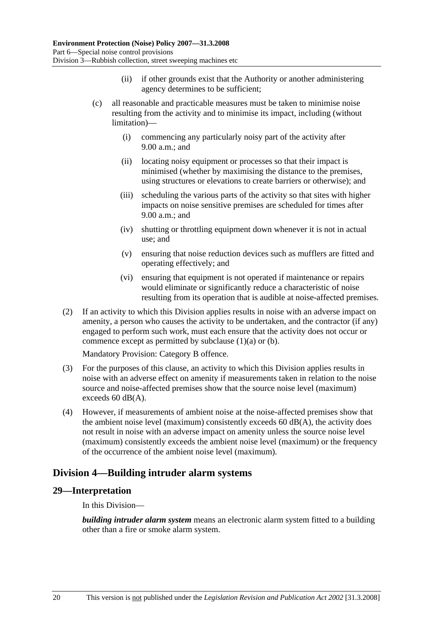- (ii) if other grounds exist that the Authority or another administering agency determines to be sufficient;
- (c) all reasonable and practicable measures must be taken to minimise noise resulting from the activity and to minimise its impact, including (without limitation)—
	- (i) commencing any particularly noisy part of the activity after 9.00 a.m.; and
	- (ii) locating noisy equipment or processes so that their impact is minimised (whether by maximising the distance to the premises, using structures or elevations to create barriers or otherwise); and
	- (iii) scheduling the various parts of the activity so that sites with higher impacts on noise sensitive premises are scheduled for times after 9.00 a.m.; and
	- (iv) shutting or throttling equipment down whenever it is not in actual use; and
	- (v) ensuring that noise reduction devices such as mufflers are fitted and operating effectively; and
	- (vi) ensuring that equipment is not operated if maintenance or repairs would eliminate or significantly reduce a characteristic of noise resulting from its operation that is audible at noise-affected premises.
- (2) If an activity to which this Division applies results in noise with an adverse impact on amenity, a person who causes the activity to be undertaken, and the contractor (if any) engaged to perform such work, must each ensure that the activity does not occur or commence except as permitted by subclause (1)(a) or (b).

Mandatory Provision: Category B offence.

- (3) For the purposes of this clause, an activity to which this Division applies results in noise with an adverse effect on amenity if measurements taken in relation to the noise source and noise-affected premises show that the source noise level (maximum) exceeds 60 dB(A).
- (4) However, if measurements of ambient noise at the noise-affected premises show that the ambient noise level (maximum) consistently exceeds  $60 \text{ dB}(A)$ , the activity does not result in noise with an adverse impact on amenity unless the source noise level (maximum) consistently exceeds the ambient noise level (maximum) or the frequency of the occurrence of the ambient noise level (maximum).

### **Division 4—Building intruder alarm systems**

### **29—Interpretation**

In this Division—

*building intruder alarm system* means an electronic alarm system fitted to a building other than a fire or smoke alarm system.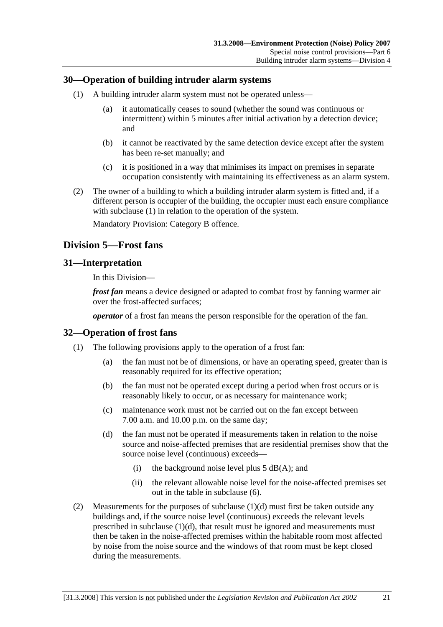### **30—Operation of building intruder alarm systems**

- (1) A building intruder alarm system must not be operated unless—
	- (a) it automatically ceases to sound (whether the sound was continuous or intermittent) within 5 minutes after initial activation by a detection device; and
	- (b) it cannot be reactivated by the same detection device except after the system has been re-set manually; and
	- (c) it is positioned in a way that minimises its impact on premises in separate occupation consistently with maintaining its effectiveness as an alarm system.
- (2) The owner of a building to which a building intruder alarm system is fitted and, if a different person is occupier of the building, the occupier must each ensure compliance with subclause (1) in relation to the operation of the system.

Mandatory Provision: Category B offence.

### **Division 5—Frost fans**

### **31—Interpretation**

In this Division—

*frost fan* means a device designed or adapted to combat frost by fanning warmer air over the frost-affected surfaces;

*operator* of a frost fan means the person responsible for the operation of the fan.

#### **32—Operation of frost fans**

- (1) The following provisions apply to the operation of a frost fan:
	- (a) the fan must not be of dimensions, or have an operating speed, greater than is reasonably required for its effective operation;
	- (b) the fan must not be operated except during a period when frost occurs or is reasonably likely to occur, or as necessary for maintenance work;
	- (c) maintenance work must not be carried out on the fan except between 7.00 a.m. and 10.00 p.m. on the same day;
	- (d) the fan must not be operated if measurements taken in relation to the noise source and noise-affected premises that are residential premises show that the source noise level (continuous) exceeds—
		- (i) the background noise level plus  $5$  dB(A); and
		- (ii) the relevant allowable noise level for the noise-affected premises set out in the table in subclause (6).
- (2) Measurements for the purposes of subclause (1)(d) must first be taken outside any buildings and, if the source noise level (continuous) exceeds the relevant levels prescribed in subclause (1)(d), that result must be ignored and measurements must then be taken in the noise-affected premises within the habitable room most affected by noise from the noise source and the windows of that room must be kept closed during the measurements.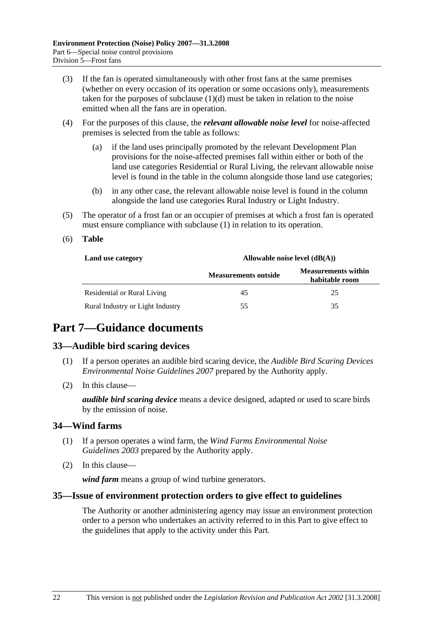- (3) If the fan is operated simultaneously with other frost fans at the same premises (whether on every occasion of its operation or some occasions only), measurements taken for the purposes of subclause  $(1)(d)$  must be taken in relation to the noise emitted when all the fans are in operation.
- (4) For the purposes of this clause, the *relevant allowable noise level* for noise-affected premises is selected from the table as follows:
	- (a) if the land uses principally promoted by the relevant Development Plan provisions for the noise-affected premises fall within either or both of the land use categories Residential or Rural Living, the relevant allowable noise level is found in the table in the column alongside those land use categories;
	- (b) in any other case, the relevant allowable noise level is found in the column alongside the land use categories Rural Industry or Light Industry.
- (5) The operator of a frost fan or an occupier of premises at which a frost fan is operated must ensure compliance with subclause (1) in relation to its operation.
- (6) **Table**

| Land use category                | Allowable noise level $(dB(A))$ |                                              |  |
|----------------------------------|---------------------------------|----------------------------------------------|--|
|                                  | <b>Measurements outside</b>     | <b>Measurements within</b><br>habitable room |  |
| Residential or Rural Living      | 45                              | 25                                           |  |
| Rural Industry or Light Industry | 55                              | 35                                           |  |

# **Part 7—Guidance documents**

### **33—Audible bird scaring devices**

- (1) If a person operates an audible bird scaring device, the *Audible Bird Scaring Devices Environmental Noise Guidelines 2007* prepared by the Authority apply.
- (2) In this clause—

*audible bird scaring device* means a device designed, adapted or used to scare birds by the emission of noise.

### **34—Wind farms**

- (1) If a person operates a wind farm, the *Wind Farms Environmental Noise Guidelines 2003* prepared by the Authority apply.
- (2) In this clause—

*wind farm* means a group of wind turbine generators.

#### **35—Issue of environment protection orders to give effect to guidelines**

The Authority or another administering agency may issue an environment protection order to a person who undertakes an activity referred to in this Part to give effect to the guidelines that apply to the activity under this Part.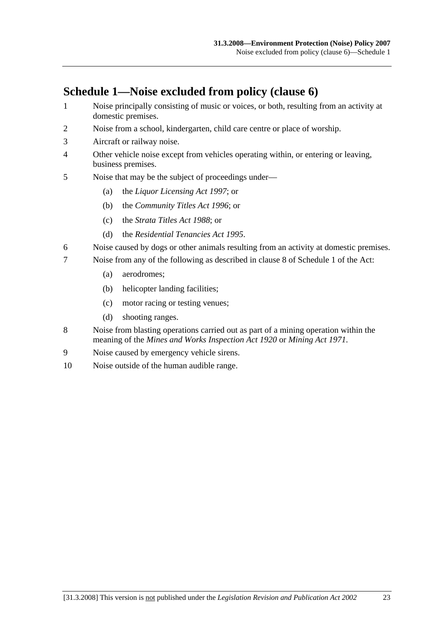# **Schedule 1—Noise excluded from policy (clause 6)**

- 1 Noise principally consisting of music or voices, or both, resulting from an activity at domestic premises.
- 2 Noise from a school, kindergarten, child care centre or place of worship.
- 3 Aircraft or railway noise.
- 4 Other vehicle noise except from vehicles operating within, or entering or leaving, business premises.
- 5 Noise that may be the subject of proceedings under—
	- (a) the *Liquor Licensing Act 1997*; or
	- (b) the *Community Titles Act 1996*; or
	- (c) the *Strata Titles Act 1988*; or
	- (d) the *Residential Tenancies Act 1995*.
- 6 Noise caused by dogs or other animals resulting from an activity at domestic premises.
- 7 Noise from any of the following as described in clause 8 of Schedule 1 of the Act:
	- (a) aerodromes;
	- (b) helicopter landing facilities;
	- (c) motor racing or testing venues;
	- (d) shooting ranges.
- 8 Noise from blasting operations carried out as part of a mining operation within the meaning of the *Mines and Works Inspection Act 1920* or *Mining Act 1971*.
- 9 Noise caused by emergency vehicle sirens.
- 10 Noise outside of the human audible range.